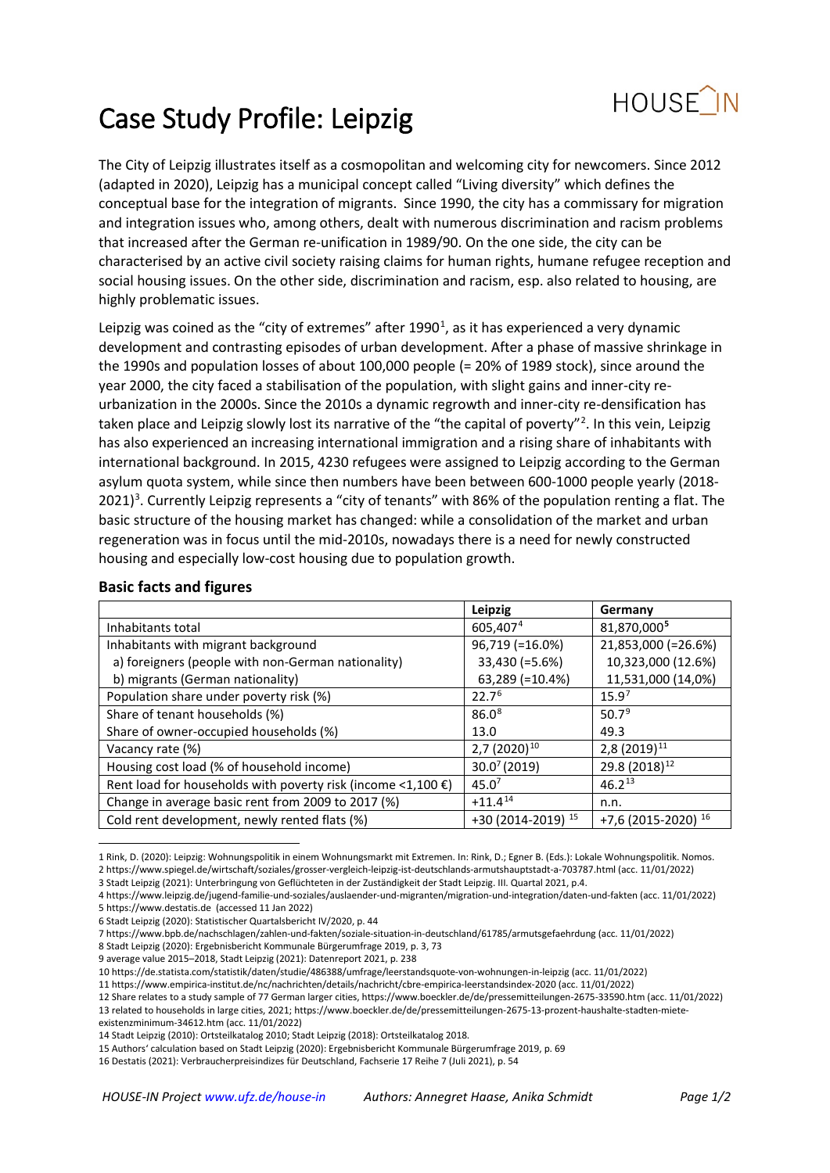

# Case Study Profile: Leipzig

The City of Leipzig illustrates itself as a cosmopolitan and welcoming city for newcomers. Since 2012 (adapted in 2020), Leipzig has a municipal concept called "Living diversity" which defines the conceptual base for the integration of migrants. Since 1990, the city has a commissary for migration and integration issues who, among others, dealt with numerous discrimination and racism problems that increased after the German re-unification in 1989/90. On the one side, the city can be characterised by an active civil society raising claims for human rights, humane refugee reception and social housing issues. On the other side, discrimination and racism, esp. also related to housing, are highly problematic issues.

Leipzig was coined as the "city of extremes" after  $1990<sup>1</sup>$  $1990<sup>1</sup>$ , as it has experienced a very dynamic development and contrasting episodes of urban development. After a phase of massive shrinkage in the 1990s and population losses of about 100,000 people (= 20% of 1989 stock), since around the year 2000, the city faced a stabilisation of the population, with slight gains and inner-city reurbanization in the 2000s. Since the 2010s a dynamic regrowth and inner-city re-densification has taken place and Leipzig slowly lost its narrative of the "the capital of poverty"<sup>[2](#page-0-1)</sup>. In this vein, Leipzig has also experienced an increasing international immigration and a rising share of inhabitants with international background. In 2015, 4230 refugees were assigned to Leipzig according to the German asylum quota system, while since then numbers have been between 600-1000 people yearly (2018- 2021)<sup>[3](#page-0-2)</sup>. Currently Leipzig represents a "city of tenants" with 86% of the population renting a flat. The basic structure of the housing market has changed: while a consolidation of the market and urban regeneration was in focus until the mid-2010s, nowadays there is a need for newly constructed housing and especially low-cost housing due to population growth.

|                                                                        | Leipzig            | Germany                   |
|------------------------------------------------------------------------|--------------------|---------------------------|
| Inhabitants total                                                      | 605,4074           | 81,870,0005               |
| Inhabitants with migrant background                                    | 96,719 (=16.0%)    | 21,853,000 (=26.6%)       |
| a) foreigners (people with non-German nationality)                     | 33,430 (=5.6%)     | 10,323,000 (12.6%)        |
| b) migrants (German nationality)                                       | 63,289 (=10.4%)    | 11,531,000 (14,0%)        |
| Population share under poverty risk (%)                                | 22.7 <sup>6</sup>  | 15.9 <sup>7</sup>         |
| Share of tenant households (%)                                         | 86.0 <sup>8</sup>  | 50.7 <sup>9</sup>         |
| Share of owner-occupied households (%)                                 | 13.0               | 49.3                      |
| Vacancy rate (%)                                                       | $2,7(2020)^{10}$   | 2,8 (2019) <sup>11</sup>  |
| Housing cost load (% of household income)                              | $30.0^{7}$ (2019)  | 29.8 (2018) <sup>12</sup> |
| Rent load for households with poverty risk (income <1,100 $\epsilon$ ) | 45.0 <sup>7</sup>  | $46.2^{13}$               |
| Change in average basic rent from 2009 to 2017 (%)                     | $+11.4^{14}$       | n.n.                      |
| Cold rent development, newly rented flats (%)                          | +30 (2014-2019) 15 | +7,6 (2015-2020) 16       |

#### **Basic facts and figures**

3 Stadt Leipzig (2021): Unterbringung von Geflüchteten in der Zuständigkeit der Stadt Leipzig. III. Quartal 2021, p.4.

8 Stadt Leipzig (2020): Ergebnisbericht Kommunale Bürgerumfrage 2019, p. 3, 73

<span id="page-0-1"></span><span id="page-0-0"></span> <sup>1</sup> Rink, D. (2020): Leipzig: Wohnungspolitik in einem Wohnungsmarkt mit Extremen. In: Rink, D.; Egner B. (Eds.): Lokale Wohnungspolitik. Nomos. 2 https://www.spiegel.de/wirtschaft/soziales/grosser-vergleich-leipzig-ist-deutschlands-armutshauptstadt-a-703787.html (acc. 11/01/2022)

<span id="page-0-3"></span><span id="page-0-2"></span><sup>4</sup> https://www.leipzig.de/jugend-familie-und-soziales/auslaender-und-migranten/migration-und-integration/daten-und-fakten (acc. 11/01/2022) 5 [https://www.destatis.de](https://www.destatis.de/DE/Themen/Gesellschaft-Umwelt/Bevoelkerung/Migration-Integration/Publikationen/Downloads-Migration/migrationshintergrund-2010220207004.html?nn=208952) (accessed 11 Jan 2022)

<span id="page-0-5"></span><span id="page-0-4"></span><sup>6</sup> Stadt Leipzig (2020): Statistischer Quartalsbericht IV/2020, p. 44

<span id="page-0-6"></span><sup>7</sup> https://www.bpb.de/nachschlagen/zahlen-und-fakten/soziale-situation-in-deutschland/61785/armutsgefaehrdung (acc. 11/01/2022)

<span id="page-0-8"></span><span id="page-0-7"></span><sup>9</sup> average value 2015–2018, Stadt Leipzig (2021): Datenreport 2021, p. 238

<span id="page-0-9"></span><sup>10</sup> https://de.statista.com/statistik/daten/studie/486388/umfrage/leerstandsquote-von-wohnungen-in-leipzig (acc. 11/01/2022)

<sup>11</sup> https://www.empirica-institut.de/nc/nachrichten/details/nachricht/cbre-empirica-leerstandsindex-2020 (acc. 11/01/2022)

<span id="page-0-11"></span><span id="page-0-10"></span><sup>12</sup> Share relates to a study sample of 77 German larger cities, https://www.boeckler.de/de/pressemitteilungen-2675-33590.htm (acc. 11/01/2022) 13 related to households in large cities, 2021; https://www.boeckler.de/de/pressemitteilungen-2675-13-prozent-haushalte-stadten-miete-

<span id="page-0-12"></span>existenzminimum-34612.htm (acc. 11/01/2022)

<span id="page-0-13"></span><sup>14</sup> Stadt Leipzig (2010): Ortsteilkatalog 2010; Stadt Leipzig (2018): Ortsteilkatalog 2018.

<span id="page-0-14"></span><sup>15</sup> Authors' calculation based on Stadt Leipzig (2020): Ergebnisbericht Kommunale Bürgerumfrage 2019, p. 69

<span id="page-0-15"></span><sup>16</sup> Destatis (2021): Verbraucherpreisindizes für Deutschland, Fachserie 17 Reihe 7 (Juli 2021), p. 54